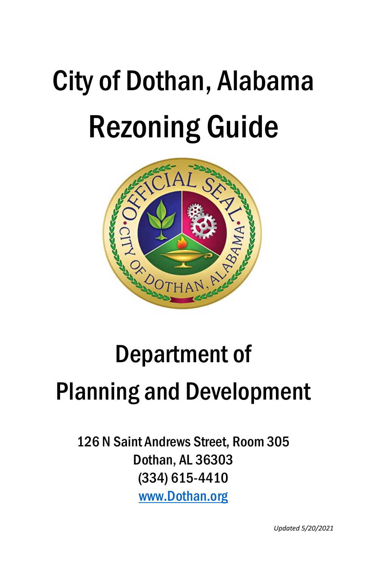# City of Dothan, Alabama Rezoning Guide



## Department of Planning and Development

126 N Saint Andrews Street, Room 305 Dothan, AL 36303 (334) 615-4410 [www.Dothan.org](http://www.dothan.org/)

*Updated 5/20/2021*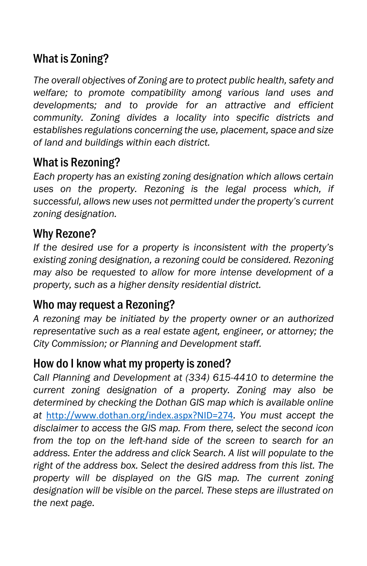## What is Zoning?

*The overall objectives of Zoning are to protect public health, safety and welfare; to promote compatibility among various land uses and developments; and to provide for an attractive and efficient community. Zoning divides a locality into specific districts and establishes regulations concerning the use, placement, space and size of land and buildings within each district.*

## What is Rezoning?

*Each property has an existing zoning designation which allows certain uses on the property. Rezoning is the legal process which, if successful, allows new uses not permitted under the property's current zoning designation.*

## Why Rezone?

*If the desired use for a property is inconsistent with the property's existing zoning designation, a rezoning could be considered. Rezoning may also be requested to allow for more intense development of a property, such as a higher density residential district.*

## Who may request a Rezoning?

*A rezoning may be initiated by the property owner or an authorized representative such as a real estate agent, engineer, or attorney; the City Commission; or Planning and Development staff.*

#### How do I know what my property is zoned?

*Call Planning and Development at (334) 615-4410 to determine the current zoning designation of a property. Zoning may also be determined by checking the Dothan GIS map which is available online at* <http://www.dothan.org/index.aspx?NID=274>*. You must accept the disclaimer to access the GIS map. From there, select the second icon from the top on the left-hand side of the screen to search for an address. Enter the address and click Search. A list will populate to the right of the address box. Select the desired address from this list. The property will be displayed on the GIS map. The current zoning designation will be visible on the parcel. These steps are illustrated on the next page.*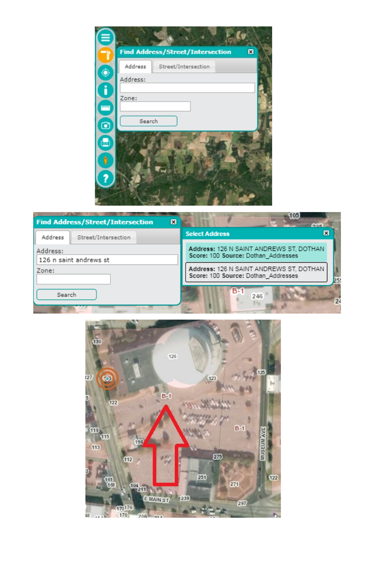| ▤                       |                                              |  |
|-------------------------|----------------------------------------------|--|
| -9                      | <b>Find Address/Street/Intersection</b><br>図 |  |
|                         | Address<br>Street/Intersection               |  |
| $\bullet$               | Address:                                     |  |
| Ō                       |                                              |  |
| proj                    | Zone:                                        |  |
|                         | Search                                       |  |
| $\overline{\mathbf{e}}$ |                                              |  |
| $\bigoplus$             |                                              |  |
|                         |                                              |  |
| $\emptyset$             |                                              |  |
| 7                       |                                              |  |
|                         |                                              |  |
|                         |                                              |  |



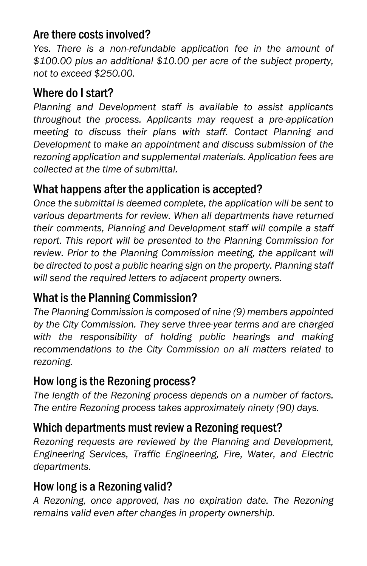#### Are there costs involved?

Yes. There is a non-refundable application fee in the amount of *\$100.00 plus an additional \$10.00 per acre of the subject property, not to exceed \$250.00.*

#### Where do I start?

*Planning and Development staff is available to assist applicants throughout the process. Applicants may request a pre-application meeting to discuss their plans with staff. Contact Planning and Development to make an appointment and discuss submission of the rezoning application and supplemental materials. Application fees are collected at the time of submittal.*

## What happens after the application is accepted?

*Once the submittal is deemed complete, the application will be sent to various departments for review. When all departments have returned their comments, Planning and Development staff will compile a staff report. This report will be presented to the Planning Commission for*  review. Prior to the Planning Commission meeting, the applicant will *be directed to post a public hearing sign on the property. Planning staff will send the required letters to adjacent property owners.*

## What is the Planning Commission?

*The Planning Commission is composed of nine (9) members appointed by the City Commission. They serve three-year terms and are charged with the responsibility of holding public hearings and making recommendations to the City Commission on all matters related to rezoning.*

## How long is the Rezoning process?

*The length of the Rezoning process depends on a number of factors. The entire Rezoning process takes approximately ninety (90) days.*

## Which departments must review a Rezoning request?

*Rezoning requests are reviewed by the Planning and Development, Engineering Services, Traffic Engineering, Fire, Water, and Electric departments.*

## How long is a Rezoning valid?

*A Rezoning, once approved, has no expiration date. The Rezoning remains valid even after changes in property ownership.*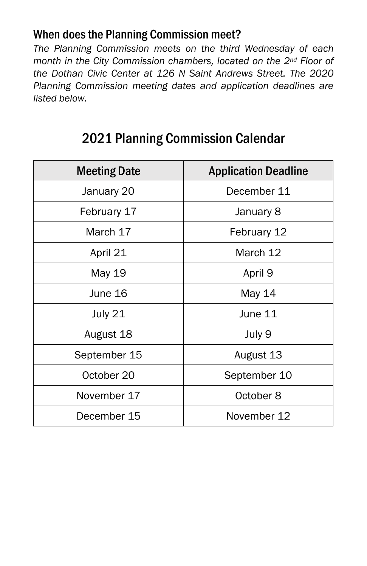#### When does the Planning Commission meet?

*The Planning Commission meets on the third Wednesday of each month in the City Commission chambers, located on the 2nd Floor of the Dothan Civic Center at 126 N Saint Andrews Street. The 2020 Planning Commission meeting dates and application deadlines are listed below.*

| <b>Meeting Date</b> | <b>Application Deadline</b> |  |
|---------------------|-----------------------------|--|
| January 20          | December 11                 |  |
| February 17         | January 8                   |  |
| March 17            | February 12                 |  |
| April 21            | March 12                    |  |
| May 19              | April 9                     |  |
| June 16             | May 14                      |  |
| July 21             | June 11                     |  |
| August 18           | July 9                      |  |
| September 15        | August 13                   |  |
| October 20          | September 10                |  |
| November 17         | October 8                   |  |
| December 15         | November 12                 |  |

## 2021 Planning Commission Calendar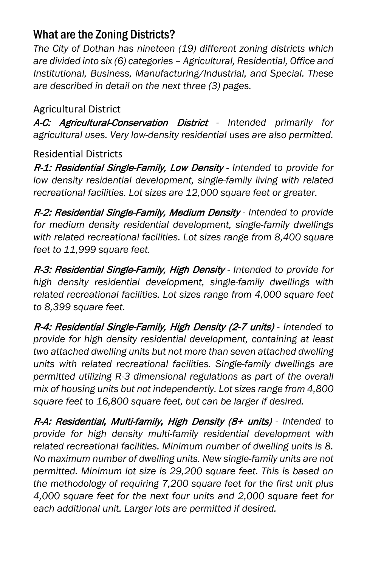## What are the Zoning Districts?

*The City of Dothan has nineteen (19) different zoning districts which are divided into six (6) categories – Agricultural, Residential, Office and Institutional, Business, Manufacturing/Industrial, and Special. These are described in detail on the next three (3) pages.*

#### Agricultural District

A-C: Agricultural-Conservation District *- Intended primarily for agricultural uses. Very low-density residential uses are also permitted.*

Residential Districts

R-1: Residential Single-Family, Low Density *- Intended to provide for low density residential development, single-family living with related recreational facilities. Lot sizes are 12,000 square feet or greater.*

R-2: Residential Single-Family, Medium Density *- Intended to provide for medium density residential development, single-family dwellings with related recreational facilities. Lot sizes range from 8,400 square feet to 11,999 square feet.*

R-3: Residential Single-Family, High Density *- Intended to provide for high density residential development, single-family dwellings with related recreational facilities. Lot sizes range from 4,000 square feet to 8,399 square feet.*

R-4: Residential Single-Family, High Density (2-7 units) *- Intended to provide for high density residential development, containing at least two attached dwelling units but not more than seven attached dwelling units with related recreational facilities. Single-family dwellings are permitted utilizing R-3 dimensional regulations as part of the overall mix of housing units but not independently. Lot sizes range from 4,800 square feet to 16,800 square feet, but can be larger if desired.*

R-A: Residential, Multi-family, High Density (8+ units) *- Intended to provide for high density multi-family residential development with related recreational facilities. Minimum number of dwelling units is 8. No maximum number of dwelling units. New single-family units are not permitted. Minimum lot size is 29,200 square feet. This is based on the methodology of requiring 7,200 square feet for the first unit plus 4,000 square feet for the next four units and 2,000 square feet for each additional unit. Larger lots are permitted if desired.*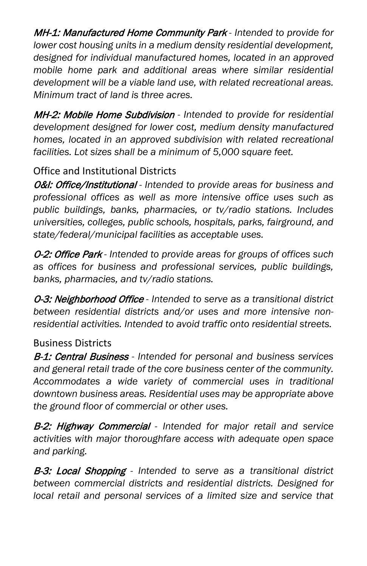MH-1: Manufactured Home Community Park *- Intended to provide for lower cost housing units in a medium density residential development, designed for individual manufactured homes, located in an approved mobile home park and additional areas where similar residential development will be a viable land use, with related recreational areas. Minimum tract of land is three acres.*

MH-2: Mobile Home Subdivision *- Intended to provide for residential development designed for lower cost, medium density manufactured homes, located in an approved subdivision with related recreational facilities. Lot sizes shall be a minimum of 5,000 square feet.*

#### Office and Institutional Districts

O&I: Office/Institutional *- Intended to provide areas for business and professional offices as well as more intensive office uses such as public buildings, banks, pharmacies, or tv/radio stations. Includes universities, colleges, public schools, hospitals, parks, fairground, and state/federal/municipal facilities as acceptable uses.*

O-2: Office Park *- Intended to provide areas for groups of offices such as offices for business and professional services, public buildings, banks, pharmacies, and tv/radio stations.*

O-3: Neighborhood Office *- Intended to serve as a transitional district between residential districts and/or uses and more intensive nonresidential activities. Intended to avoid traffic onto residential streets.*

#### Business Districts

B-1: Central Business *- Intended for personal and business services and general retail trade of the core business center of the community. Accommodates a wide variety of commercial uses in traditional downtown business areas. Residential uses may be appropriate above the ground floor of commercial or other uses.*

B-2: Highway Commercial *- Intended for major retail and service activities with major thoroughfare access with adequate open space and parking.*

B-3: Local Shopping *- Intended to serve as a transitional district between commercial districts and residential districts. Designed for*  local retail and personal services of a limited size and service that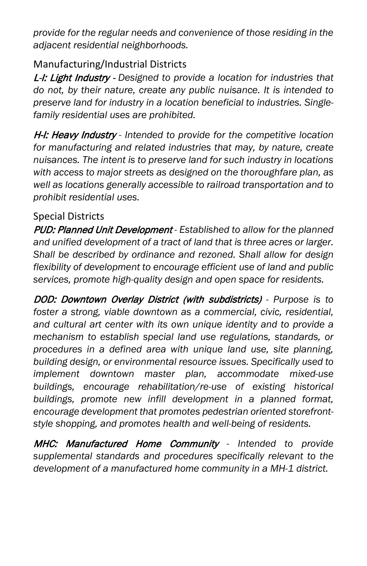*provide for the regular needs and convenience of those residing in the adjacent residential neighborhoods.*

#### Manufacturing/Industrial Districts

L-I: Light Industry - *Designed to provide a location for industries that do not, by their nature, create any public nuisance. It is intended to preserve land for industry in a location beneficial to industries. Singlefamily residential uses are prohibited.*

H-I: Heavy Industry *- Intended to provide for the competitive location*  for manufacturing and related industries that may, by nature, create *nuisances. The intent is to preserve land for such industry in locations with access to major streets as designed on the thoroughfare plan, as well as locations generally accessible to railroad transportation and to prohibit residential uses.*

#### Special Districts

PUD: Planned Unit Development *- Established to allow for the planned and unified development of a tract of land that is three acres or larger. Shall be described by ordinance and rezoned. Shall allow for design flexibility of development to encourage efficient use of land and public services, promote high-quality design and open space for residents.* 

DOD: Downtown Overlay District (with subdistricts) *- Purpose is to foster a strong, viable downtown as a commercial, civic, residential, and cultural art center with its own unique identity and to provide a mechanism to establish special land use regulations, standards, or procedures in a defined area with unique land use, site planning, building design, or environmental resource issues. Specifically used to implement downtown master plan, accommodate mixed-use buildings, encourage rehabilitation/re-use of existing historical buildings, promote new infill development in a planned format, encourage development that promotes pedestrian oriented storefrontstyle shopping, and promotes health and well-being of residents.*

MHC: Manufactured Home Community *- Intended to provide supplemental standards and procedures specifically relevant to the development of a manufactured home community in a MH-1 district.*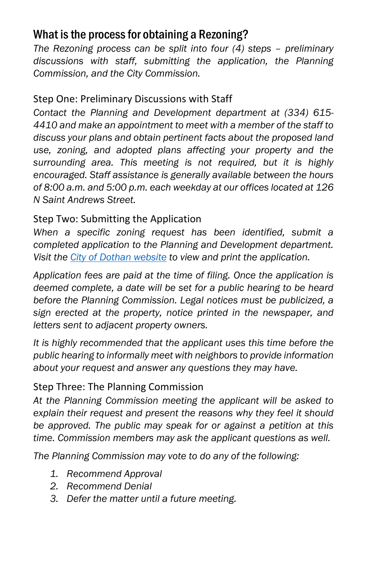## What is the process for obtaining a Rezoning?

*The Rezoning process can be split into four (4) steps – preliminary discussions with staff, submitting the application, the Planning Commission, and the City Commission.*

#### Step One: Preliminary Discussions with Staff

*Contact the Planning and Development department at (334) 615- 4410 and make an appointment to meet with a member of the staff to discuss your plans and obtain pertinent facts about the proposed land use, zoning, and adopted plans affecting your property and the surrounding area. This meeting is not required, but it is highly encouraged. Staff assistance is generally available between the hours of 8:00 a.m. and 5:00 p.m. each weekday at our offices located at 126 N Saint Andrews Street.*

#### Step Two: Submitting the Application

*When a specific zoning request has been identified, submit a completed application to the Planning and Development department. Visit the [City of Dothan website](http://www.dothan.org/273/Applications) to view and print the application.*

*Application fees are paid at the time of filing. Once the application is deemed complete, a date will be set for a public hearing to be heard before the Planning Commission. Legal notices must be publicized, a sign erected at the property, notice printed in the newspaper, and letters sent to adjacent property owners.*

*It is highly recommended that the applicant uses this time before the public hearing to informally meet with neighbors to provide information about your request and answer any questions they may have.*

#### Step Three: The Planning Commission

*At the Planning Commission meeting the applicant will be asked to explain their request and present the reasons why they feel it should be approved. The public may speak for or against a petition at this time. Commission members may ask the applicant questions as well.*

*The Planning Commission may vote to do any of the following:*

- *1. Recommend Approval*
- *2. Recommend Denial*
- *3. Defer the matter until a future meeting.*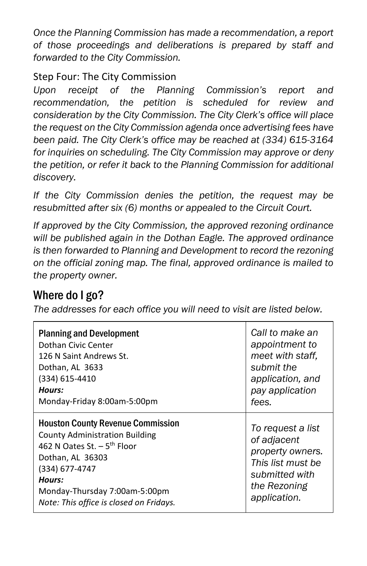*Once the Planning Commission has made a recommendation, a report of those proceedings and deliberations is prepared by staff and forwarded to the City Commission.*

#### Step Four: The City Commission

*Upon receipt of the Planning Commission's report and recommendation, the petition is scheduled for review and consideration by the City Commission. The City Clerk's office will place the request on the City Commission agenda once advertising fees have been paid. The City Clerk's office may be reached at (334) 615-3164 for inquiries on scheduling. The City Commission may approve or deny the petition, or refer it back to the Planning Commission for additional discovery.*

*If the City Commission denies the petition, the request may be resubmitted after six (6) months or appealed to the Circuit Court.*

*If approved by the City Commission, the approved rezoning ordinance will be published again in the Dothan Eagle. The approved ordinance is then forwarded to Planning and Development to record the rezoning on the official zoning map. The final, approved ordinance is mailed to the property owner.*

## Where do I go?

*The addresses for each office you will need to visit are listed below.* 

| <b>Planning and Development</b>                                                                                                                                                                                                                           | Call to make an                                                                                                             |
|-----------------------------------------------------------------------------------------------------------------------------------------------------------------------------------------------------------------------------------------------------------|-----------------------------------------------------------------------------------------------------------------------------|
| Dothan Civic Center                                                                                                                                                                                                                                       | appointment to                                                                                                              |
| 126 N Saint Andrews St.                                                                                                                                                                                                                                   | meet with staff,                                                                                                            |
| Dothan, AL 3633                                                                                                                                                                                                                                           | submit the                                                                                                                  |
| (334) 615-4410                                                                                                                                                                                                                                            | application, and                                                                                                            |
| Hours:                                                                                                                                                                                                                                                    | pay application                                                                                                             |
| Monday-Friday 8:00am-5:00pm                                                                                                                                                                                                                               | fees.                                                                                                                       |
| <b>Houston County Revenue Commission</b><br><b>County Administration Building</b><br>462 N Oates St. $-5$ <sup>th</sup> Floor<br>Dothan, AL 36303<br>(334) 677-4747<br>Hours:<br>Monday-Thursday 7:00am-5:00pm<br>Note: This office is closed on Fridays. | To request a list<br>of adjacent<br>property owners.<br>This list must be<br>submitted with<br>the Rezoning<br>application. |